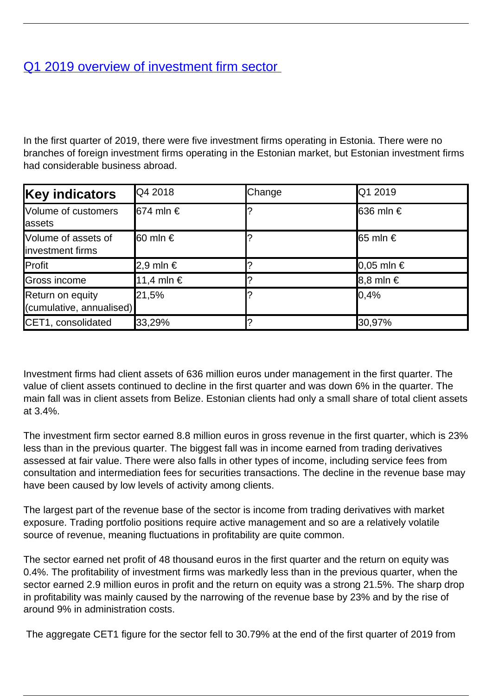## [Q1 2019 overview of investment firm sector](/en/publications/q1-2019-overview-investment-firm-sector)

In the first quarter of 2019, there were five investment firms operating in Estonia. There were no branches of foreign investment firms operating in the Estonian market, but Estonian investment firms had considerable business abroad.

| <b>Key indicators</b>                        | Q4 2018            | Change | Q1 2019            |
|----------------------------------------------|--------------------|--------|--------------------|
| Volume of customers<br><b>assets</b>         | <b>l</b> 674 mln € |        | <b>636 mln €</b>   |
| Volume of assets of<br>linvestment firms     | <b>l</b> 60 mln €  |        | $\vert$ 65 mln €   |
| Profit                                       | 2,9 mln €          |        | $\vert 0.05$ mln € |
| Gross income                                 | 11,4 mln €         |        | $8,8$ mln €        |
| Return on equity<br>(cumulative, annualised) | 21,5%              |        | $ 0, 4\%$          |
| CET1, consolidated                           | 33,29%             |        | 30,97%             |

Investment firms had client assets of 636 million euros under management in the first quarter. The value of client assets continued to decline in the first quarter and was down 6% in the quarter. The main fall was in client assets from Belize. Estonian clients had only a small share of total client assets at 3.4%.

The investment firm sector earned 8.8 million euros in gross revenue in the first quarter, which is 23% less than in the previous quarter. The biggest fall was in income earned from trading derivatives assessed at fair value. There were also falls in other types of income, including service fees from consultation and intermediation fees for securities transactions. The decline in the revenue base may have been caused by low levels of activity among clients.

The largest part of the revenue base of the sector is income from trading derivatives with market exposure. Trading portfolio positions require active management and so are a relatively volatile source of revenue, meaning fluctuations in profitability are quite common.

The sector earned net profit of 48 thousand euros in the first quarter and the return on equity was 0.4%. The profitability of investment firms was markedly less than in the previous quarter, when the sector earned 2.9 million euros in profit and the return on equity was a strong 21.5%. The sharp drop in profitability was mainly caused by the narrowing of the revenue base by 23% and by the rise of around 9% in administration costs.

The aggregate CET1 figure for the sector fell to 30.79% at the end of the first quarter of 2019 from